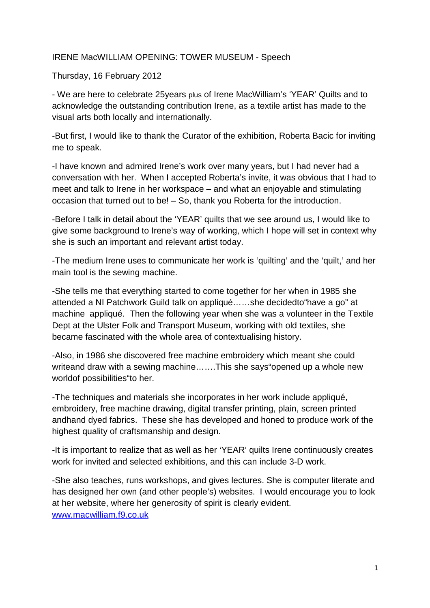## IRENE MacWILLIAM OPENING: TOWER MUSEUM - Speech

Thursday, 16 February 2012

- We are here to celebrate 25years plus of Irene MacWilliam's 'YEAR' Quilts and to acknowledge the outstanding contribution Irene, as a textile artist has made to the visual arts both locally and internationally.

-But first, I would like to thank the Curator of the exhibition, Roberta Bacic for inviting me to speak.

-I have known and admired Irene's work over many years, but I had never had a conversation with her. When I accepted Roberta's invite, it was obvious that I had to meet and talk to Irene in her workspace – and what an enjoyable and stimulating occasion that turned out to be! – So, thank you Roberta for the introduction.

-Before I talk in detail about the 'YEAR' quilts that we see around us, I would like to give some background to Irene's way of working, which I hope will set in context why she is such an important and relevant artist today.

-The medium Irene uses to communicate her work is 'quilting' and the 'quilt,' and her main tool is the sewing machine.

-She tells me that everything started to come together for her when in 1985 she attended a NI Patchwork Guild talk on appliqué……she decidedto"have a go" at machine appliqué. Then the following year when she was a volunteer in the Textile Dept at the Ulster Folk and Transport Museum, working with old textiles, she became fascinated with the whole area of contextualising history.

-Also, in 1986 she discovered free machine embroidery which meant she could writeand draw with a sewing machine…….This she says"opened up a whole new worldof possibilities"to her.

-The techniques and materials she incorporates in her work include appliqué, embroidery, free machine drawing, digital transfer printing, plain, screen printed andhand dyed fabrics. These she has developed and honed to produce work of the highest quality of craftsmanship and design.

-It is important to realize that as well as her 'YEAR' quilts Irene continuously creates work for invited and selected exhibitions, and this can include 3-D work.

-She also teaches, runs workshops, and gives lectures. She is computer literate and has designed her own (and other people's) websites. I would encourage you to look at her website, where her generosity of spirit is clearly evident. www.macwilliam.f9.co.uk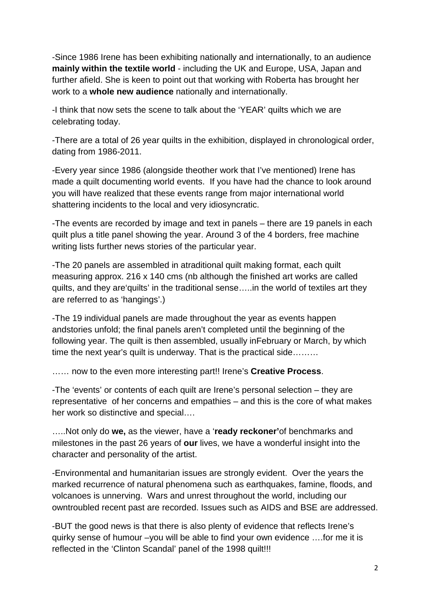-Since 1986 Irene has been exhibiting nationally and internationally, to an audience **mainly within the textile world** - including the UK and Europe, USA, Japan and further afield. She is keen to point out that working with Roberta has brought her work to a **whole new audience** nationally and internationally.

-I think that now sets the scene to talk about the 'YEAR' quilts which we are celebrating today.

-There are a total of 26 year quilts in the exhibition, displayed in chronological order, dating from 1986-2011.

-Every year since 1986 (alongside theother work that I've mentioned) Irene has made a quilt documenting world events. If you have had the chance to look around you will have realized that these events range from major international world shattering incidents to the local and very idiosyncratic.

-The events are recorded by image and text in panels – there are 19 panels in each quilt plus a title panel showing the year. Around 3 of the 4 borders, free machine writing lists further news stories of the particular year.

-The 20 panels are assembled in atraditional quilt making format, each quilt measuring approx. 216 x 140 cms (nb although the finished art works are called quilts, and they are'quilts' in the traditional sense…..in the world of textiles art they are referred to as 'hangings'.)

-The 19 individual panels are made throughout the year as events happen andstories unfold; the final panels aren't completed until the beginning of the following year. The quilt is then assembled, usually inFebruary or March, by which time the next year's quilt is underway. That is the practical side………

…… now to the even more interesting part!! Irene's **Creative Process**.

-The 'events' or contents of each quilt are Irene's personal selection – they are representative of her concerns and empathies – and this is the core of what makes her work so distinctive and special….

…..Not only do **we,** as the viewer, have a '**ready reckoner'**of benchmarks and milestones in the past 26 years of **our** lives, we have a wonderful insight into the character and personality of the artist.

-Environmental and humanitarian issues are strongly evident. Over the years the marked recurrence of natural phenomena such as earthquakes, famine, floods, and volcanoes is unnerving. Wars and unrest throughout the world, including our owntroubled recent past are recorded. Issues such as AIDS and BSE are addressed.

-BUT the good news is that there is also plenty of evidence that reflects Irene's quirky sense of humour –you will be able to find your own evidence ….for me it is reflected in the 'Clinton Scandal' panel of the 1998 quilt!!!